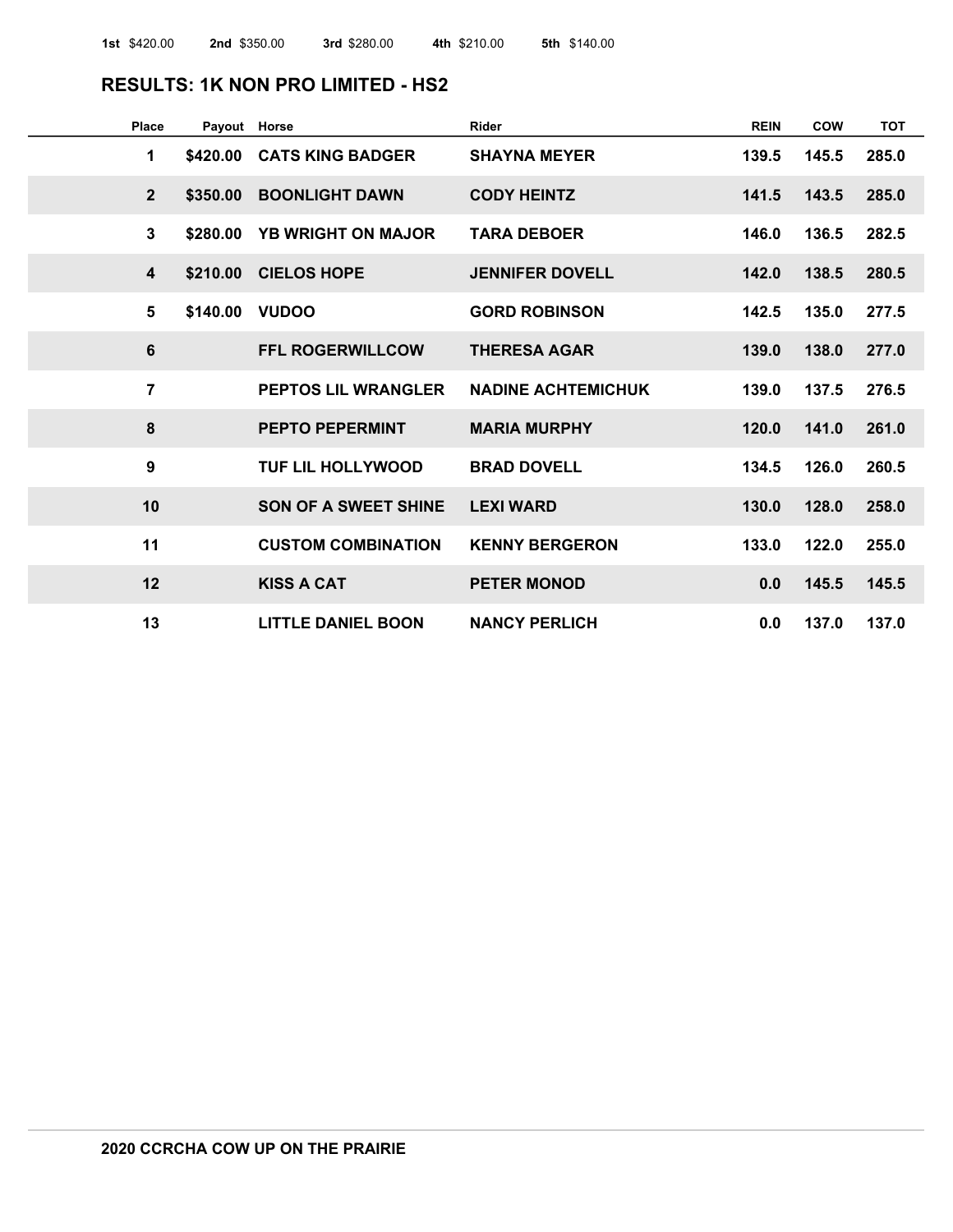#### **RESULTS: 1K NON PRO LIMITED - HS2**

| Place            | Payout Horse |                             | <b>Rider</b>              | <b>REIN</b> | COW   | <b>TOT</b> |
|------------------|--------------|-----------------------------|---------------------------|-------------|-------|------------|
| 1                | \$420.00     | <b>CATS KING BADGER</b>     | <b>SHAYNA MEYER</b>       | 139.5       | 145.5 | 285.0      |
| $\overline{2}$   | \$350.00     | <b>BOONLIGHT DAWN</b>       | <b>CODY HEINTZ</b>        | 141.5       | 143.5 | 285.0      |
| $\mathbf{3}$     | \$280.00     | <b>YB WRIGHT ON MAJOR</b>   | <b>TARA DEBOER</b>        | 146.0       | 136.5 | 282.5      |
| $\boldsymbol{4}$ | \$210.00     | <b>CIELOS HOPE</b>          | <b>JENNIFER DOVELL</b>    | 142.0       | 138.5 | 280.5      |
| 5                | \$140.00     | <b>VUDOO</b>                | <b>GORD ROBINSON</b>      | 142.5       | 135.0 | 277.5      |
| $6\phantom{1}6$  |              | <b>FFL ROGERWILLCOW</b>     | <b>THERESA AGAR</b>       | 139.0       | 138.0 | 277.0      |
| $\overline{7}$   |              | <b>PEPTOS LIL WRANGLER</b>  | <b>NADINE ACHTEMICHUK</b> | 139.0       | 137.5 | 276.5      |
| $\boldsymbol{8}$ |              | <b>PEPTO PEPERMINT</b>      | <b>MARIA MURPHY</b>       | 120.0       | 141.0 | 261.0      |
| 9                |              | <b>TUF LIL HOLLYWOOD</b>    | <b>BRAD DOVELL</b>        | 134.5       | 126.0 | 260.5      |
| 10               |              | <b>SON OF A SWEET SHINE</b> | <b>LEXI WARD</b>          | 130.0       | 128.0 | 258.0      |
| 11               |              | <b>CUSTOM COMBINATION</b>   | <b>KENNY BERGERON</b>     | 133.0       | 122.0 | 255.0      |
| 12               |              | <b>KISS A CAT</b>           | <b>PETER MONOD</b>        | 0.0         | 145.5 | 145.5      |
| 13               |              | <b>LITTLE DANIEL BOON</b>   | <b>NANCY PERLICH</b>      | 0.0         | 137.0 | 137.0      |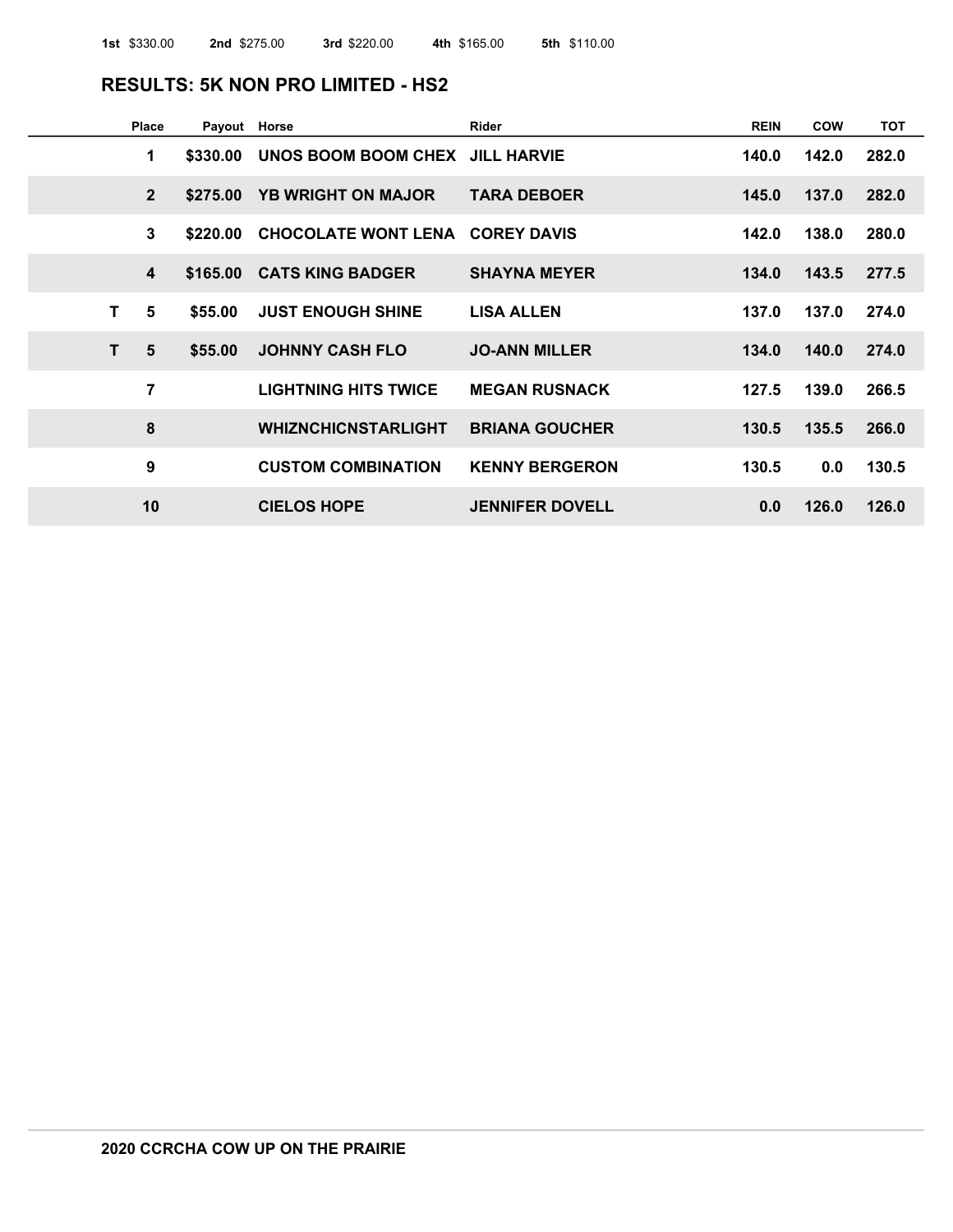#### **RESULTS: 5K NON PRO LIMITED - HS2**

| <b>Place</b>            | Payout Horse |                                 | Rider                  | <b>REIN</b> | COW   | <b>TOT</b> |
|-------------------------|--------------|---------------------------------|------------------------|-------------|-------|------------|
| 1                       | \$330.00     | UNOS BOOM BOOM CHEX JILL HARVIE |                        | 140.0       | 142.0 | 282.0      |
| $2^{\circ}$             | \$275,00     | <b>YB WRIGHT ON MAJOR</b>       | <b>TARA DEBOER</b>     | 145.0       | 137.0 | 282.0      |
| 3                       | \$220.00     | CHOCOLATE WONT LENA COREY DAVIS |                        | 142.0       | 138.0 | 280.0      |
| $\overline{\mathbf{4}}$ |              | \$165.00 CATS KING BADGER       | <b>SHAYNA MEYER</b>    | 134.0       | 143.5 | 277.5      |
| T<br>5                  | \$55.00      | <b>JUST ENOUGH SHINE</b>        | <b>LISA ALLEN</b>      | 137.0       | 137.0 | 274.0      |
| T.<br>5                 | \$55.00      | <b>JOHNNY CASH FLO</b>          | <b>JO-ANN MILLER</b>   | 134.0       | 140.0 | 274.0      |
| $\overline{7}$          |              | <b>LIGHTNING HITS TWICE</b>     | <b>MEGAN RUSNACK</b>   | 127.5       | 139.0 | 266.5      |
| 8                       |              | <b>WHIZNCHICNSTARLIGHT</b>      | <b>BRIANA GOUCHER</b>  | 130.5       | 135.5 | 266.0      |
| 9                       |              | <b>CUSTOM COMBINATION</b>       | <b>KENNY BERGERON</b>  | 130.5       | 0.0   | 130.5      |
| 10                      |              | <b>CIELOS HOPE</b>              | <b>JENNIFER DOVELL</b> | 0.0         | 126.0 | 126.0      |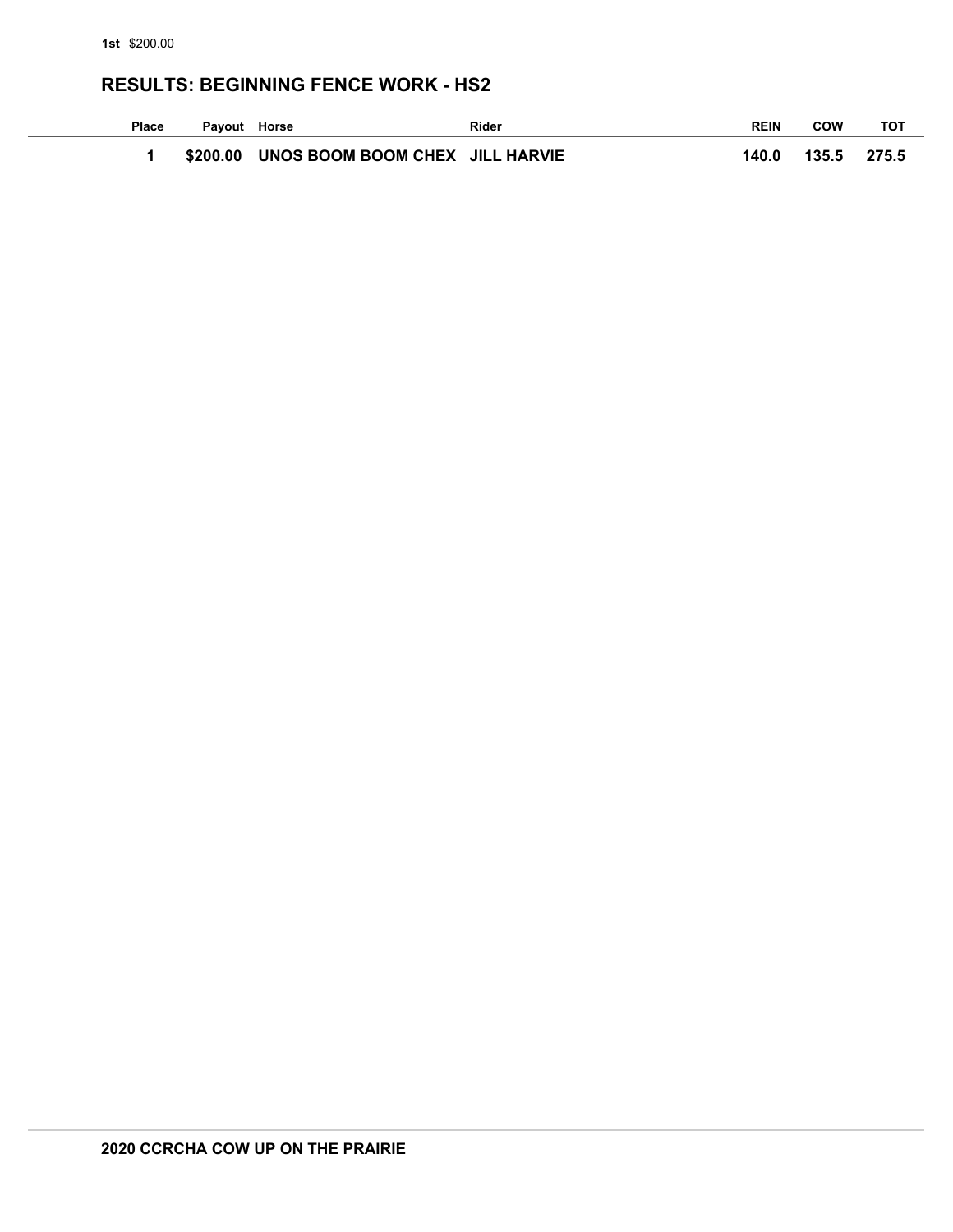#### **RESULTS: BEGINNING FENCE WORK - HS2**

| Place | Payout Horse |                                          | <b>Rider</b> | <b>REIN</b> | COW   | тот   |
|-------|--------------|------------------------------------------|--------------|-------------|-------|-------|
|       |              | \$200.00 UNOS BOOM BOOM CHEX JILL HARVIE |              | 140.0       | 135.5 | 275.5 |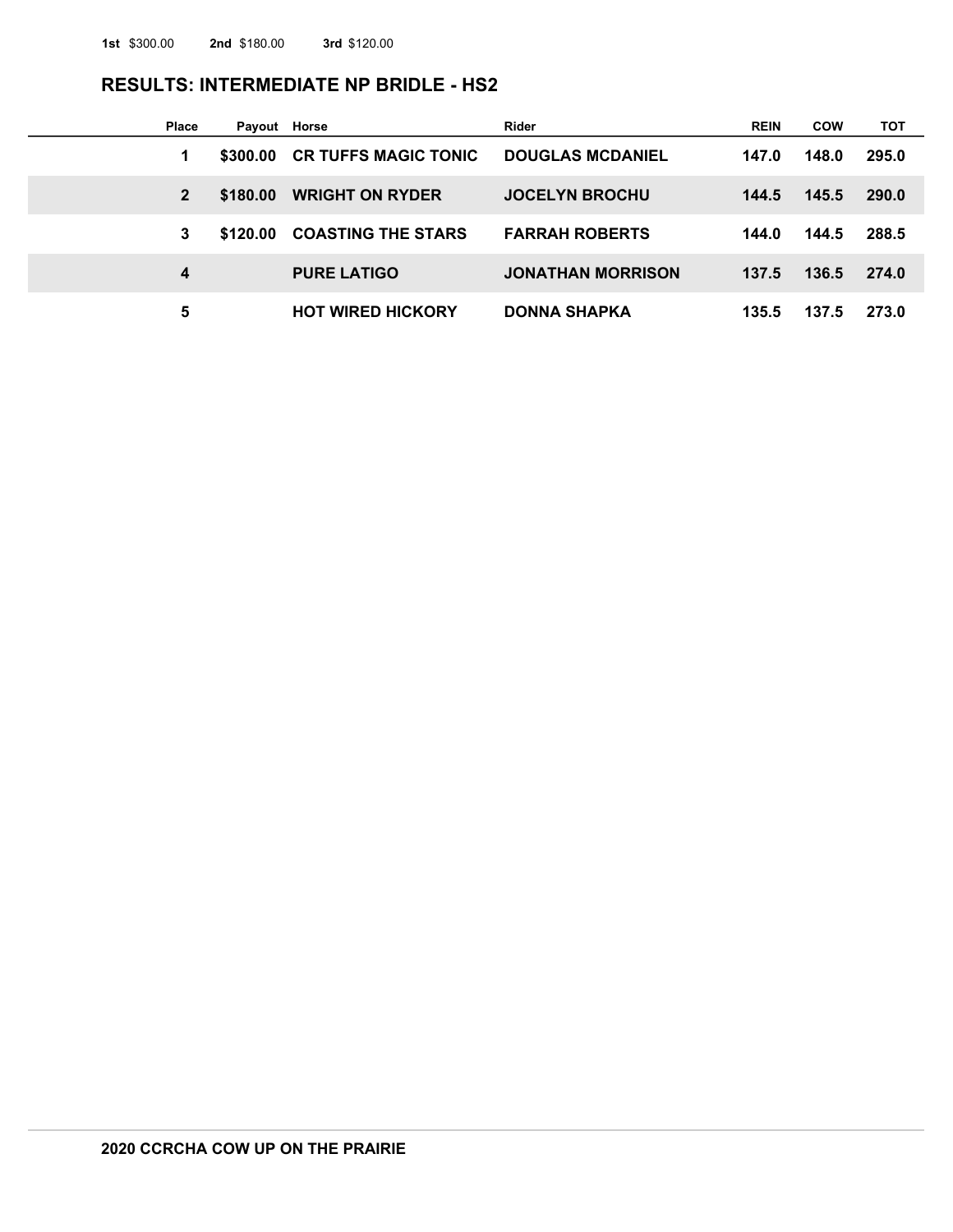#### **RESULTS: INTERMEDIATE NP BRIDLE - HS2**

| Place        | Payout Horse |                             | <b>Rider</b>             | <b>REIN</b> | <b>COW</b> | <b>TOT</b>   |
|--------------|--------------|-----------------------------|--------------------------|-------------|------------|--------------|
| 1            | \$300.00     | <b>CR TUFFS MAGIC TONIC</b> | <b>DOUGLAS MCDANIEL</b>  | 147.0       | 148.0      | 295.0        |
| $\mathbf{2}$ | \$180,00     | <b>WRIGHT ON RYDER</b>      | <b>JOCELYN BROCHU</b>    | 144.5       | 145.5      | <b>290.0</b> |
| 3            | \$120.00     | <b>COASTING THE STARS</b>   | <b>FARRAH ROBERTS</b>    | 144.0       | 144.5      | 288.5        |
| 4            |              | <b>PURE LATIGO</b>          | <b>JONATHAN MORRISON</b> | 137.5       | 136.5      | 274.0        |
| 5            |              | <b>HOT WIRED HICKORY</b>    | <b>DONNA SHAPKA</b>      | 135.5       | 137.5      | 273.0        |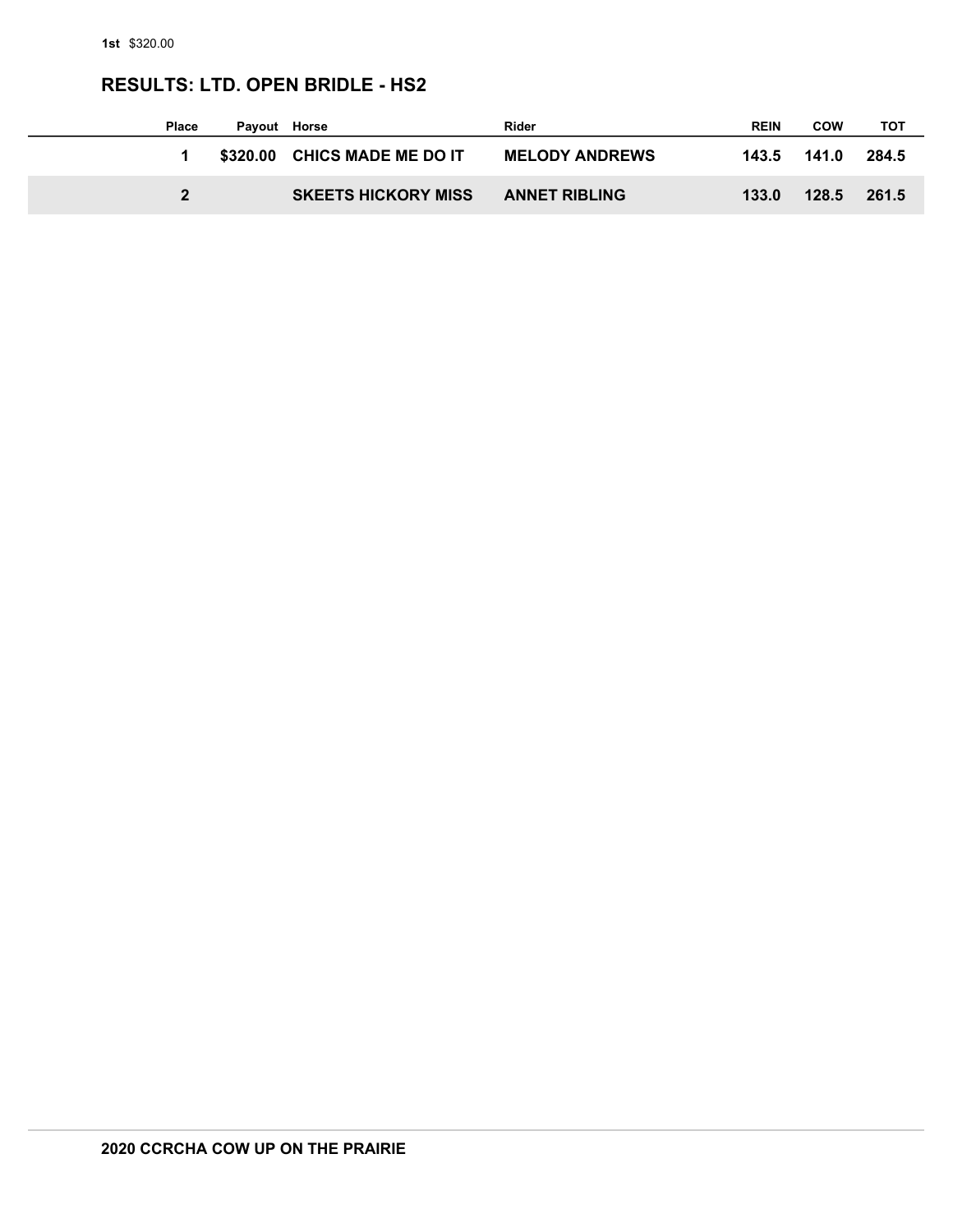# **RESULTS: LTD. OPEN BRIDLE - HS2**

| <b>Place</b> | Payout Horse |                              | Rider                 | <b>REIN</b> | <b>COW</b> | тот   |
|--------------|--------------|------------------------------|-----------------------|-------------|------------|-------|
|              |              | \$320.00 CHICS MADE ME DO IT | <b>MELODY ANDREWS</b> | 143.5       | 141.0      | 284.5 |
| 2            |              | <b>SKEETS HICKORY MISS</b>   | <b>ANNET RIBLING</b>  | 133.0       | 128.5      | 261.5 |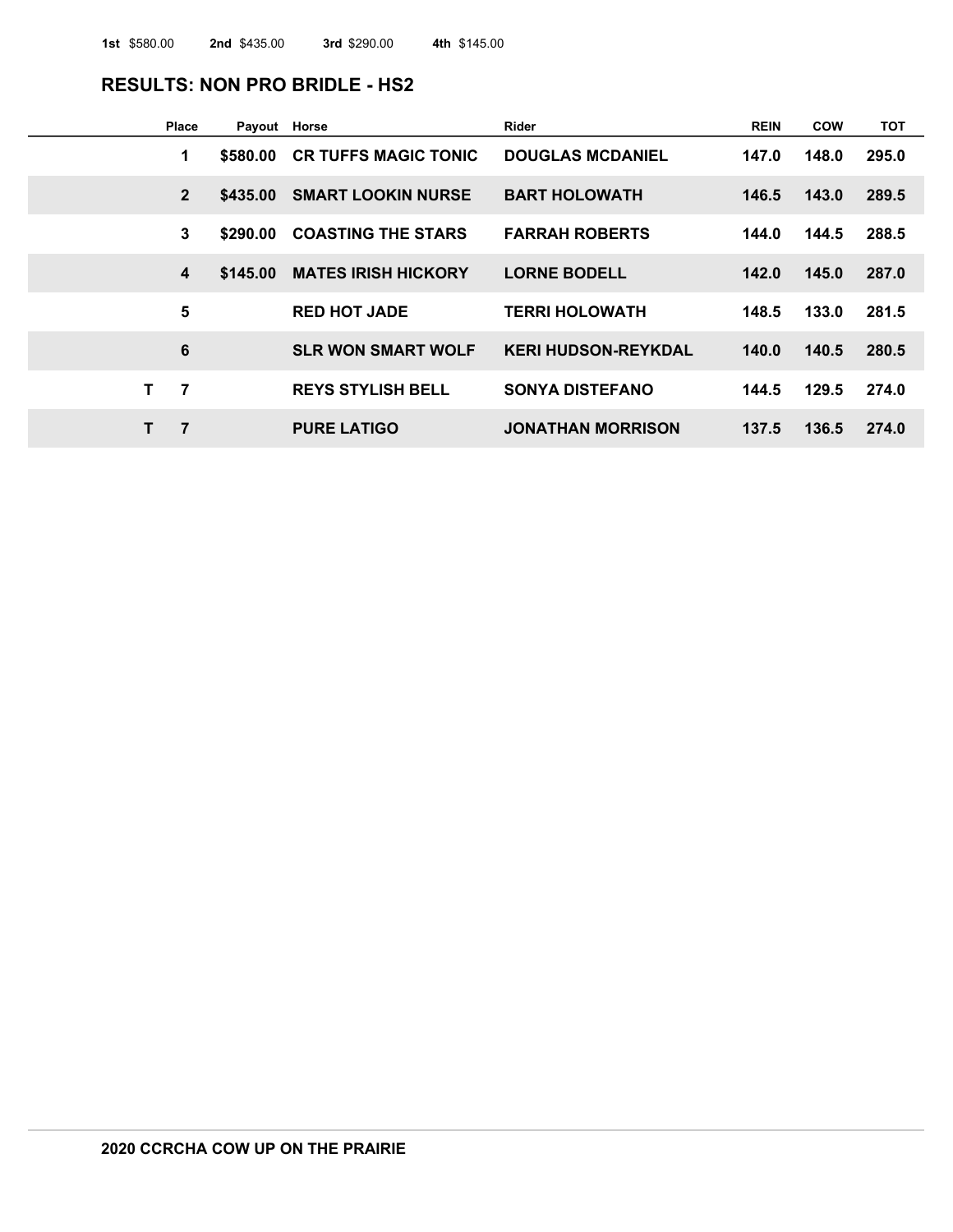#### **RESULTS: NON PRO BRIDLE - HS2**

| Place                   | Payout Horse |                             | Rider                      | <b>REIN</b> | <b>COW</b> | <b>TOT</b> |
|-------------------------|--------------|-----------------------------|----------------------------|-------------|------------|------------|
| 1                       | \$580.00     | <b>CR TUFFS MAGIC TONIC</b> | <b>DOUGLAS MCDANIEL</b>    | 147.0       | 148.0      | 295.0      |
| $\overline{2}$          | \$435.00     | <b>SMART LOOKIN NURSE</b>   | <b>BART HOLOWATH</b>       | 146.5       | 143.0      | 289.5      |
| 3                       | \$290.00     | <b>COASTING THE STARS</b>   | <b>FARRAH ROBERTS</b>      | 144.0       | 144.5      | 288.5      |
| $\overline{\mathbf{4}}$ | \$145.00     | <b>MATES IRISH HICKORY</b>  | <b>LORNE BODELL</b>        | 142.0       | 145.0      | 287.0      |
| 5                       |              | <b>RED HOT JADE</b>         | <b>TERRI HOLOWATH</b>      | 148.5       | 133.0      | 281.5      |
| $6\phantom{1}6$         |              | <b>SLR WON SMART WOLF</b>   | <b>KERI HUDSON-REYKDAL</b> | 140.0       | 140.5      | 280.5      |
| 7<br>т                  |              | <b>REYS STYLISH BELL</b>    | <b>SONYA DISTEFANO</b>     | 144.5       | 129.5      | 274.0      |
| $\overline{7}$<br>т     |              | <b>PURE LATIGO</b>          | <b>JONATHAN MORRISON</b>   | 137.5       | 136.5      | 274.0      |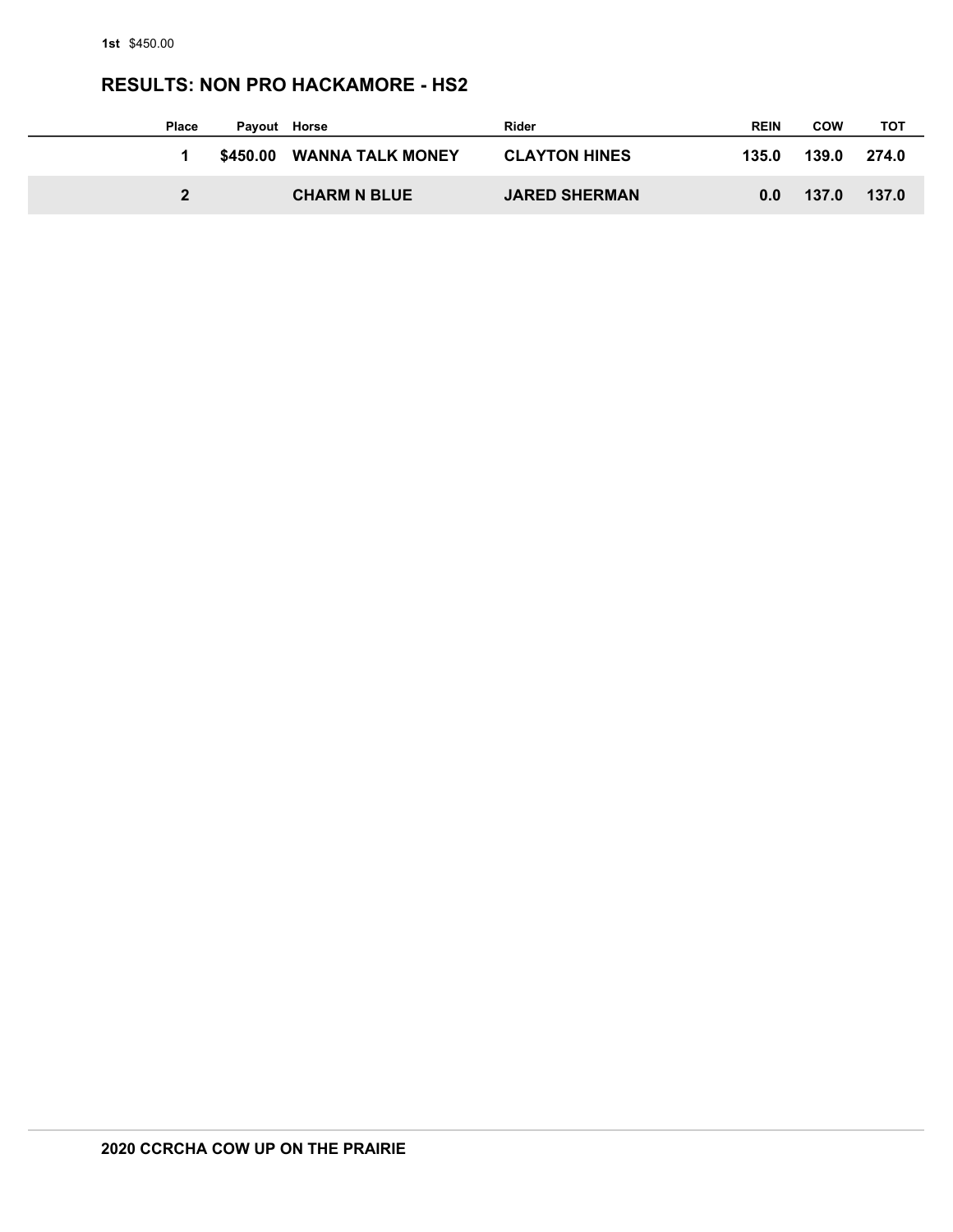## **RESULTS: NON PRO HACKAMORE - HS2**

| <b>Place</b> | Payout   | Horse                   | <b>Rider</b>         | <b>REIN</b> | <b>COW</b> | тот   |
|--------------|----------|-------------------------|----------------------|-------------|------------|-------|
|              | \$450.00 | <b>WANNA TALK MONEY</b> | <b>CLAYTON HINES</b> | 135.0       | 139.0      | 274.0 |
| $\mathbf{2}$ |          | <b>CHARM N BLUE</b>     | <b>JARED SHERMAN</b> | 0.0         | 137.0      | 137.0 |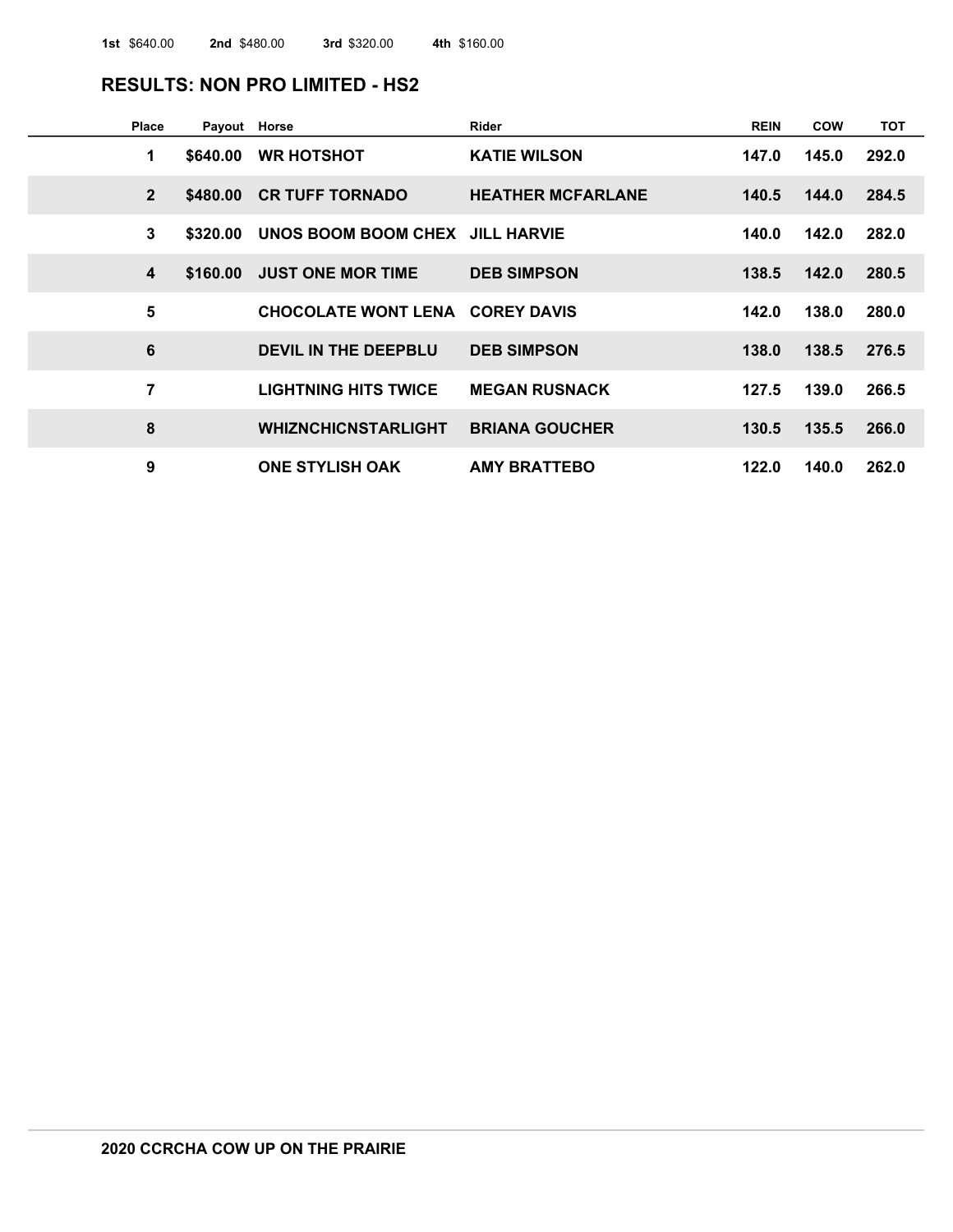#### **RESULTS: NON PRO LIMITED - HS2**

| Place          | Payout Horse |                                        | Rider                    | <b>REIN</b> | <b>COW</b> | <b>TOT</b> |
|----------------|--------------|----------------------------------------|--------------------------|-------------|------------|------------|
| 1              | \$640.00     | <b>WR HOTSHOT</b>                      | <b>KATIE WILSON</b>      | 147.0       | 145.0      | 292.0      |
| $\overline{2}$ |              | \$480.00 CR TUFF TORNADO               | <b>HEATHER MCFARLANE</b> | 140.5       | 144.0      | 284.5      |
| 3              | \$320.00     | UNOS BOOM BOOM CHEX JILL HARVIE        |                          | 140.0       | 142.0      | 282.0      |
| 4              | \$160.00     | <b>JUST ONE MOR TIME</b>               | <b>DEB SIMPSON</b>       | 138.5       | 142.0      | 280.5      |
| 5              |              | <b>CHOCOLATE WONT LENA COREY DAVIS</b> |                          | 142.0       | 138.0      | 280.0      |
| 6              |              | DEVIL IN THE DEEPBLU                   | <b>DEB SIMPSON</b>       | 138.0       | 138.5      | 276.5      |
| 7              |              | <b>LIGHTNING HITS TWICE</b>            | <b>MEGAN RUSNACK</b>     | 127.5       | 139.0      | 266.5      |
| 8              |              | <b>WHIZNCHICNSTARLIGHT</b>             | <b>BRIANA GOUCHER</b>    | 130.5       | 135.5      | 266.0      |
| 9              |              | <b>ONE STYLISH OAK</b>                 | <b>AMY BRATTEBO</b>      | 122.0       | 140.0      | 262.0      |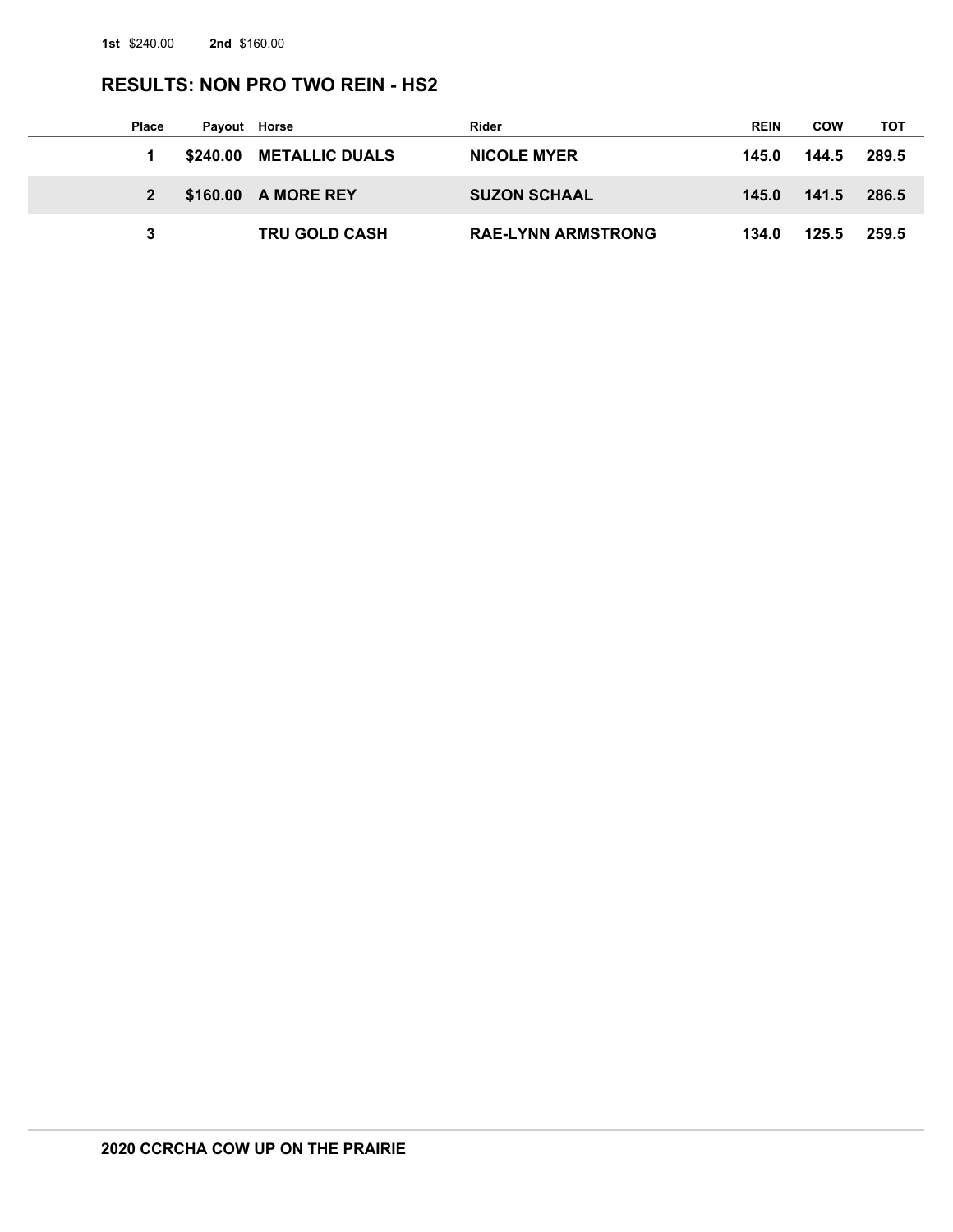## **RESULTS: NON PRO TWO REIN - HS2**

| <b>Place</b> | Payout Horse |                         | Rider                     | <b>REIN</b> | COW   | тот   |
|--------------|--------------|-------------------------|---------------------------|-------------|-------|-------|
|              |              | \$240.00 METALLIC DUALS | <b>NICOLE MYER</b>        | 145.0       | 144.5 | 289.5 |
|              |              | \$160.00 A MORE REY     | <b>SUZON SCHAAL</b>       | 145.0       | 141.5 | 286.5 |
|              |              | <b>TRU GOLD CASH</b>    | <b>RAE-LYNN ARMSTRONG</b> | 134.0       | 125.5 | 259.5 |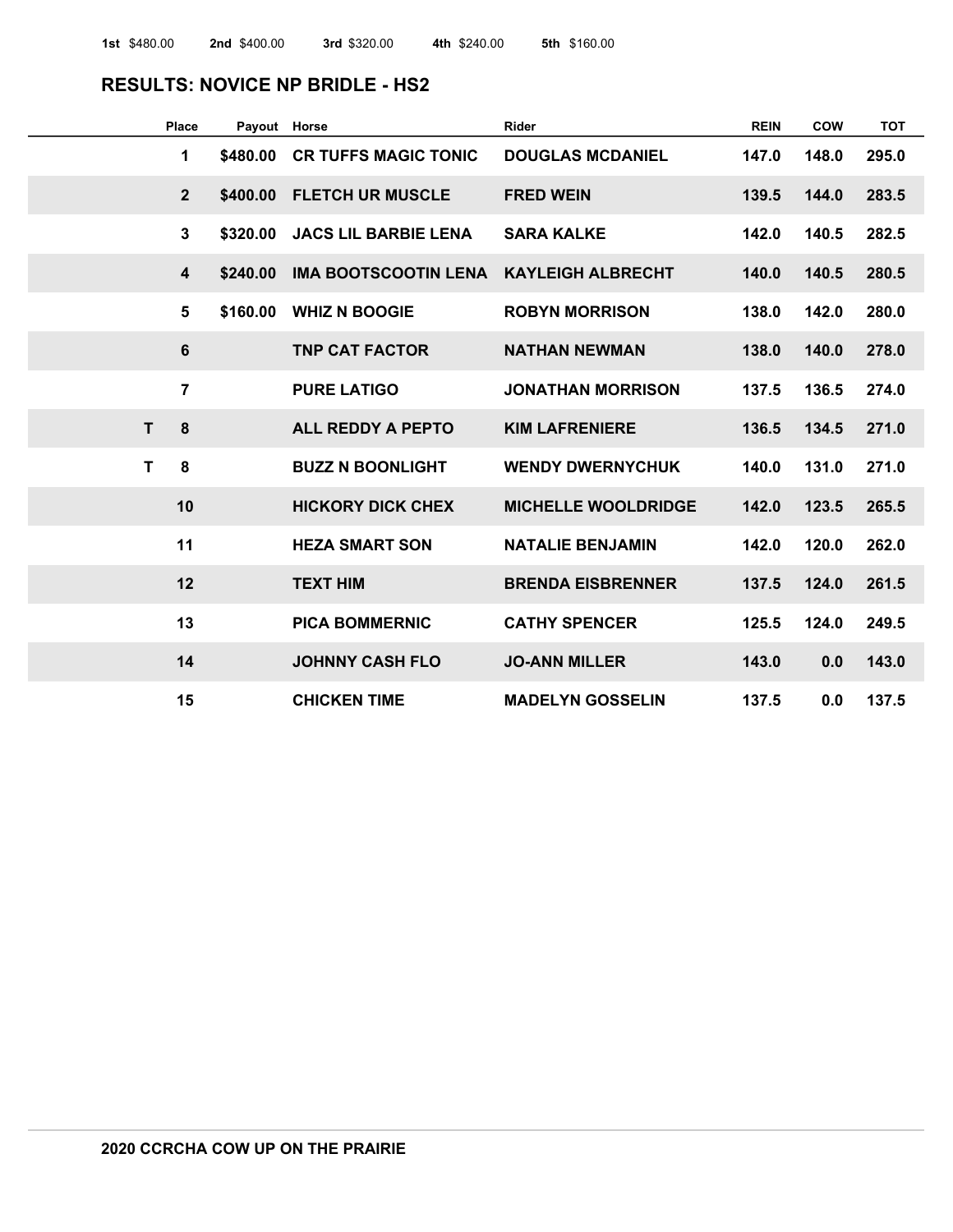#### **RESULTS: NOVICE NP BRIDLE - HS2**

| <b>Place</b>            | Payout Horse |                             | Rider                      | <b>REIN</b> | <b>COW</b> | <b>TOT</b> |
|-------------------------|--------------|-----------------------------|----------------------------|-------------|------------|------------|
| 1                       | \$480.00     | <b>CR TUFFS MAGIC TONIC</b> | <b>DOUGLAS MCDANIEL</b>    | 147.0       | 148.0      | 295.0      |
| $\mathbf{2}$            | \$400.00     | <b>FLETCH UR MUSCLE</b>     | <b>FRED WEIN</b>           | 139.5       | 144.0      | 283.5      |
| $\overline{3}$          | \$320.00     | <b>JACS LIL BARBIE LENA</b> | <b>SARA KALKE</b>          | 142.0       | 140.5      | 282.5      |
| $\overline{\mathbf{4}}$ | \$240.00     | <b>IMA BOOTSCOOTIN LENA</b> | <b>KAYLEIGH ALBRECHT</b>   | 140.0       | 140.5      | 280.5      |
| 5                       | \$160.00     | <b>WHIZ N BOOGIE</b>        | <b>ROBYN MORRISON</b>      | 138.0       | 142.0      | 280.0      |
| 6                       |              | <b>TNP CAT FACTOR</b>       | <b>NATHAN NEWMAN</b>       | 138.0       | 140.0      | 278.0      |
| $\overline{7}$          |              | <b>PURE LATIGO</b>          | <b>JONATHAN MORRISON</b>   | 137.5       | 136.5      | 274.0      |
| 8<br>$\mathsf{T}$       |              | <b>ALL REDDY A PEPTO</b>    | <b>KIM LAFRENIERE</b>      | 136.5       | 134.5      | 271.0      |
| $\mathbf{T}$<br>8       |              | <b>BUZZ N BOONLIGHT</b>     | <b>WENDY DWERNYCHUK</b>    | 140.0       | 131.0      | 271.0      |
| 10                      |              | <b>HICKORY DICK CHEX</b>    | <b>MICHELLE WOOLDRIDGE</b> | 142.0       | 123.5      | 265.5      |
| 11                      |              | <b>HEZA SMART SON</b>       | <b>NATALIE BENJAMIN</b>    | 142.0       | 120.0      | 262.0      |
| 12                      |              | <b>TEXT HIM</b>             | <b>BRENDA EISBRENNER</b>   | 137.5       | 124.0      | 261.5      |
| 13                      |              | <b>PICA BOMMERNIC</b>       | <b>CATHY SPENCER</b>       | 125.5       | 124.0      | 249.5      |
| 14                      |              | <b>JOHNNY CASH FLO</b>      | <b>JO-ANN MILLER</b>       | 143.0       | 0.0        | 143.0      |
| 15                      |              | <b>CHICKEN TIME</b>         | <b>MADELYN GOSSELIN</b>    | 137.5       | 0.0        | 137.5      |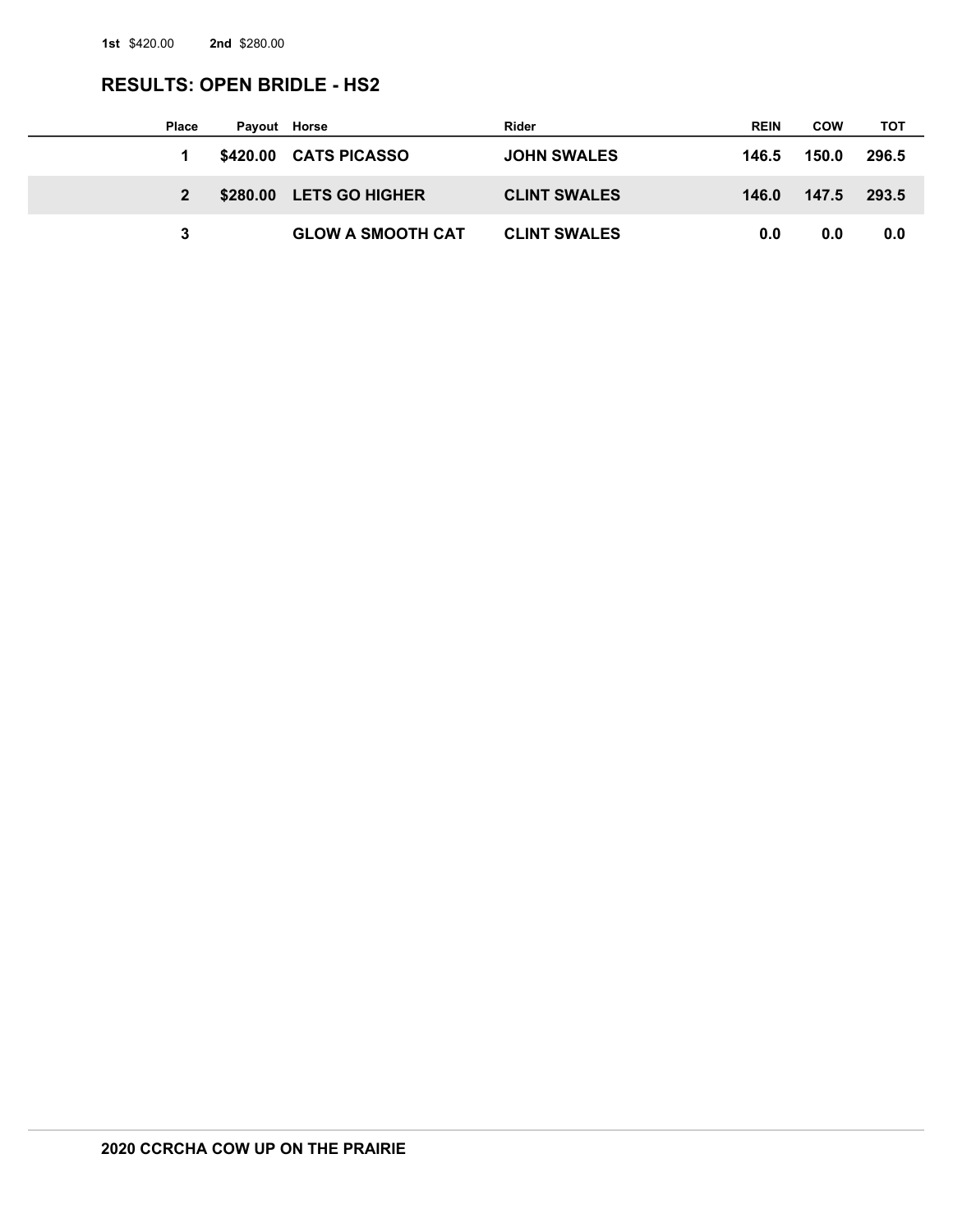# **RESULTS: OPEN BRIDLE - HS2**

| <b>Place</b> | Payout Horse |                          | Rider               | <b>REIN</b> | <b>COW</b> | тот   |
|--------------|--------------|--------------------------|---------------------|-------------|------------|-------|
|              |              | \$420.00 CATS PICASSO    | <b>JOHN SWALES</b>  | 146.5       | 150.0      | 296.5 |
|              |              | \$280.00 LETS GO HIGHER  | <b>CLINT SWALES</b> | 146.0       | 147.5      | 293.5 |
|              |              | <b>GLOW A SMOOTH CAT</b> | <b>CLINT SWALES</b> | 0.0         | 0.0        | 0.0   |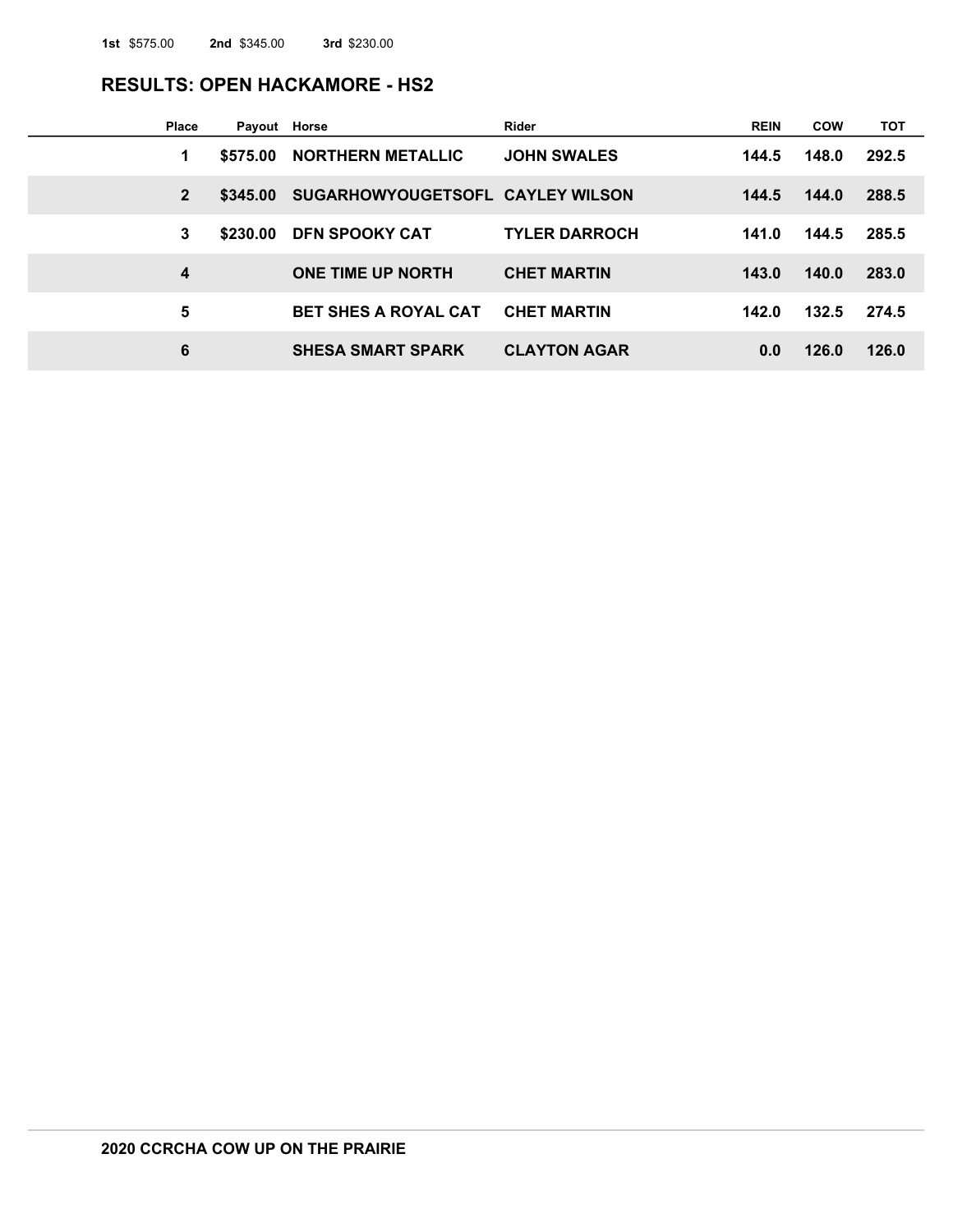#### **RESULTS: OPEN HACKAMORE - HS2**

| <b>Place</b>   | Payout Horse |                                  | <b>Rider</b>         | <b>REIN</b> | <b>COW</b> | тот   |
|----------------|--------------|----------------------------------|----------------------|-------------|------------|-------|
| 1              | \$575.00     | <b>NORTHERN METALLIC</b>         | <b>JOHN SWALES</b>   | 144.5       | 148.0      | 292.5 |
| $\overline{2}$ | \$345.00     | SUGARHOWYOUGETSOFL CAYLEY WILSON |                      | 144.5       | 144.0      | 288.5 |
| 3              | \$230.00     | <b>DFN SPOOKY CAT</b>            | <b>TYLER DARROCH</b> | 141.0       | 144.5      | 285.5 |
| 4              |              | <b>ONE TIME UP NORTH</b>         | <b>CHET MARTIN</b>   | 143.0       | 140.0      | 283.0 |
| 5              |              | <b>BET SHES A ROYAL CAT</b>      | <b>CHET MARTIN</b>   | 142.0       | 132.5      | 274.5 |
| 6              |              | <b>SHESA SMART SPARK</b>         | <b>CLAYTON AGAR</b>  | 0.0         | 126.0      | 126.0 |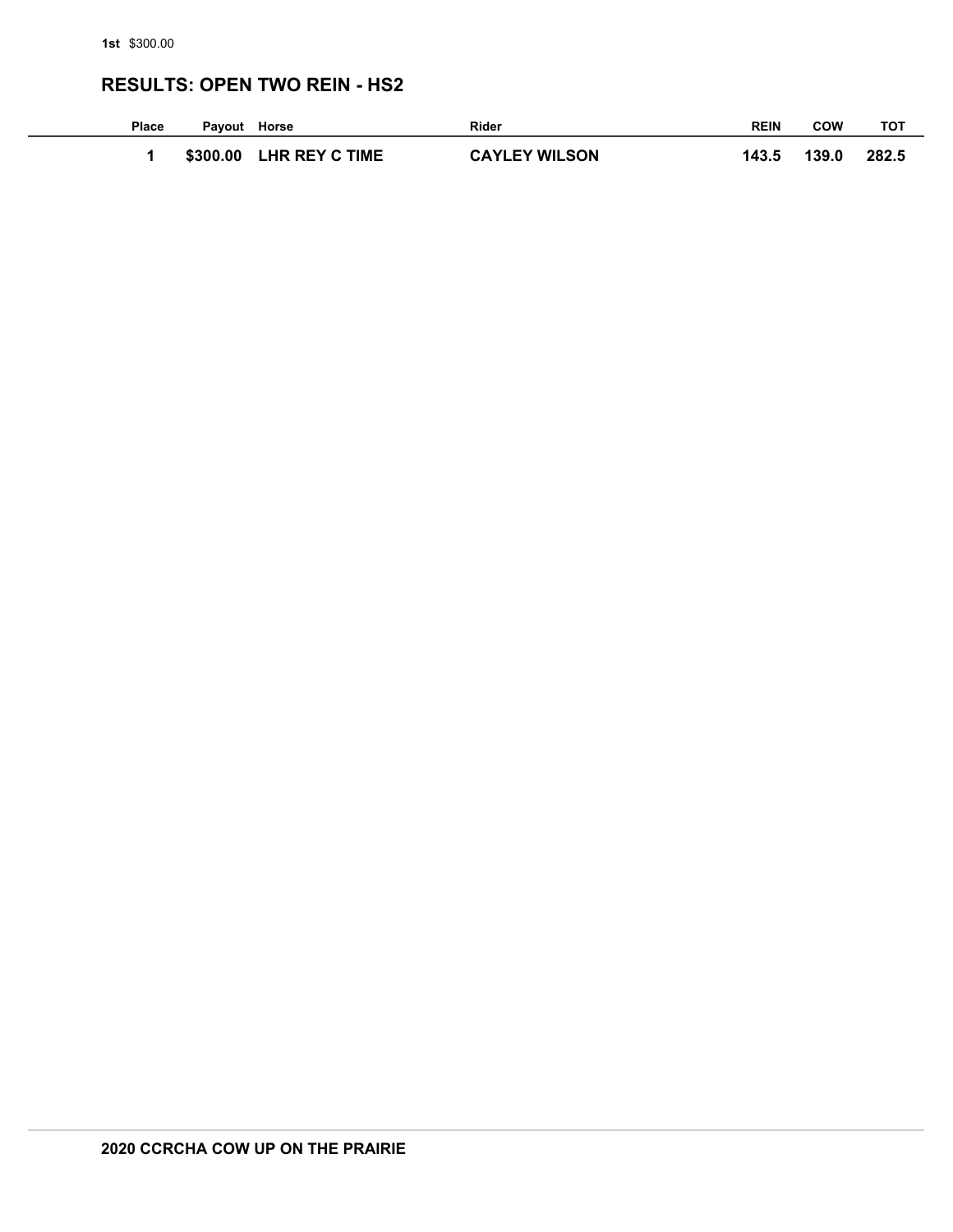### **RESULTS: OPEN TWO REIN - HS2**

| Place | Payout Horse |                       | <b>Rider</b>         | <b>REIN</b> | COW   | тот   |
|-------|--------------|-----------------------|----------------------|-------------|-------|-------|
|       | \$300.00     | <b>LHR REY C TIME</b> | <b>CAYLEY WILSON</b> | 143.5       | 139.0 | 282.5 |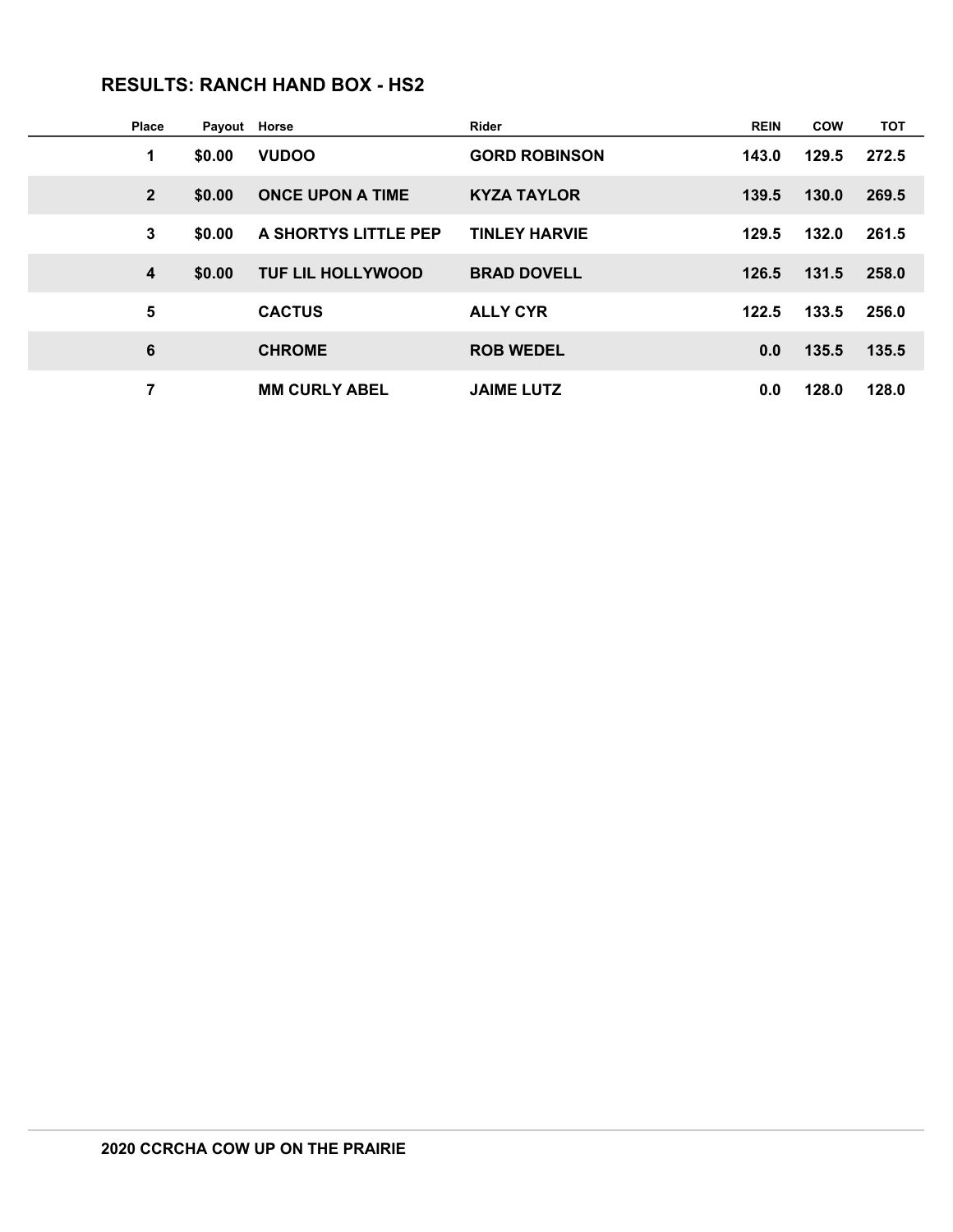### **RESULTS: RANCH HAND BOX - HS2**

| <b>Place</b>   | Payout | Horse                    | Rider                | <b>REIN</b> | <b>COW</b> | <b>TOT</b> |
|----------------|--------|--------------------------|----------------------|-------------|------------|------------|
| 1              | \$0.00 | <b>VUDOO</b>             | <b>GORD ROBINSON</b> | 143.0       | 129.5      | 272.5      |
| $\overline{2}$ | \$0.00 | <b>ONCE UPON A TIME</b>  | <b>KYZA TAYLOR</b>   | 139.5       | 130.0      | 269.5      |
| 3              | \$0.00 | A SHORTYS LITTLE PEP     | <b>TINLEY HARVIE</b> | 129.5       | 132.0      | 261.5      |
| 4              | \$0.00 | <b>TUF LIL HOLLYWOOD</b> | <b>BRAD DOVELL</b>   | 126.5       | 131.5      | 258.0      |
| 5              |        | <b>CACTUS</b>            | <b>ALLY CYR</b>      | 122.5       | 133.5      | 256.0      |
| 6              |        | <b>CHROME</b>            | <b>ROB WEDEL</b>     | 0.0         | 135.5      | 135.5      |
| 7              |        | <b>MM CURLY ABEL</b>     | <b>JAIME LUTZ</b>    | 0.0         | 128.0      | 128.0      |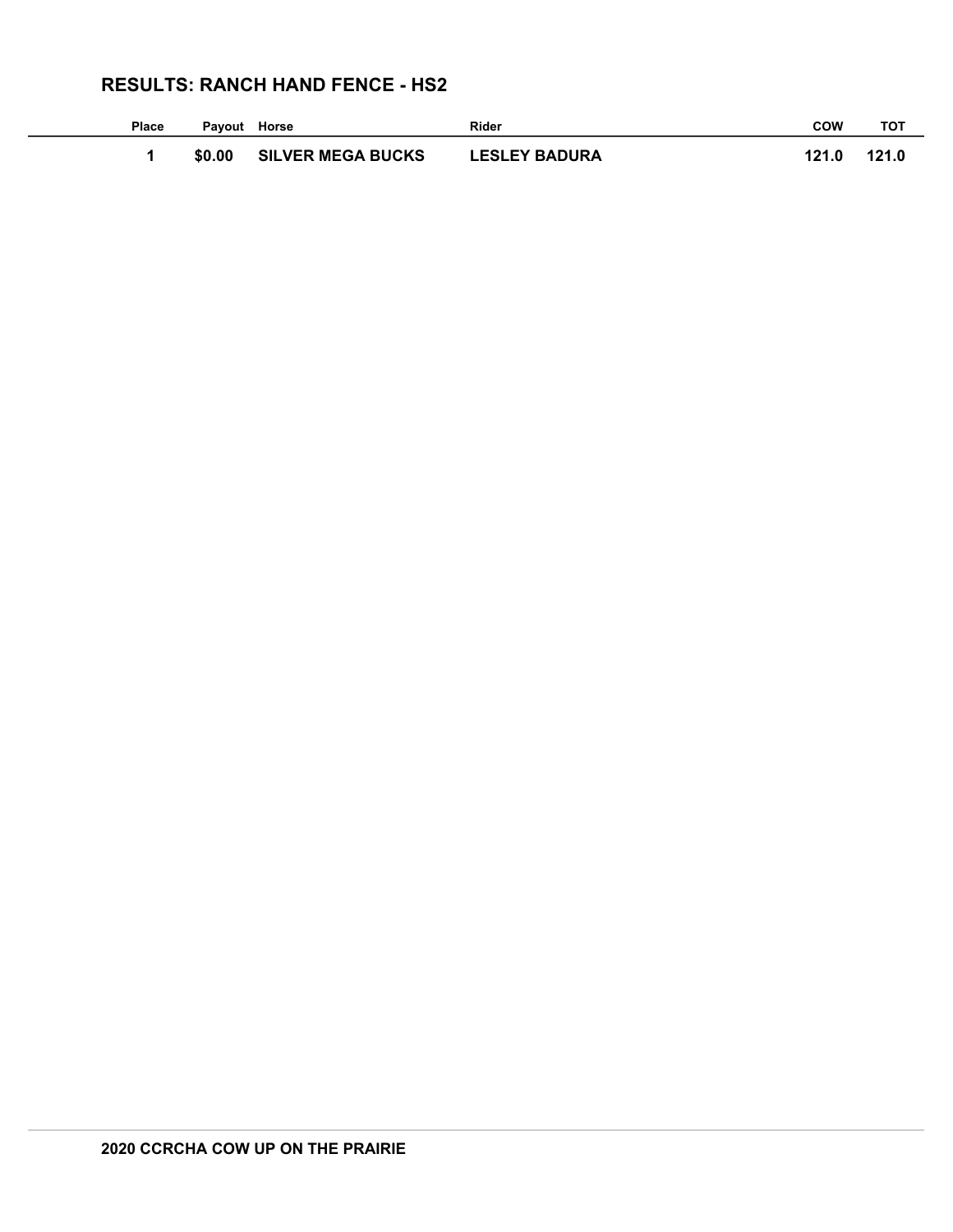## **RESULTS: RANCH HAND FENCE - HS2**

| Place | Pavout | Horse                    | <b>Rider</b>         | <b>COW</b> | тот   |
|-------|--------|--------------------------|----------------------|------------|-------|
|       | \$0.00 | <b>SILVER MEGA BUCKS</b> | <b>LESLEY BADURA</b> | 121.0      | 121.0 |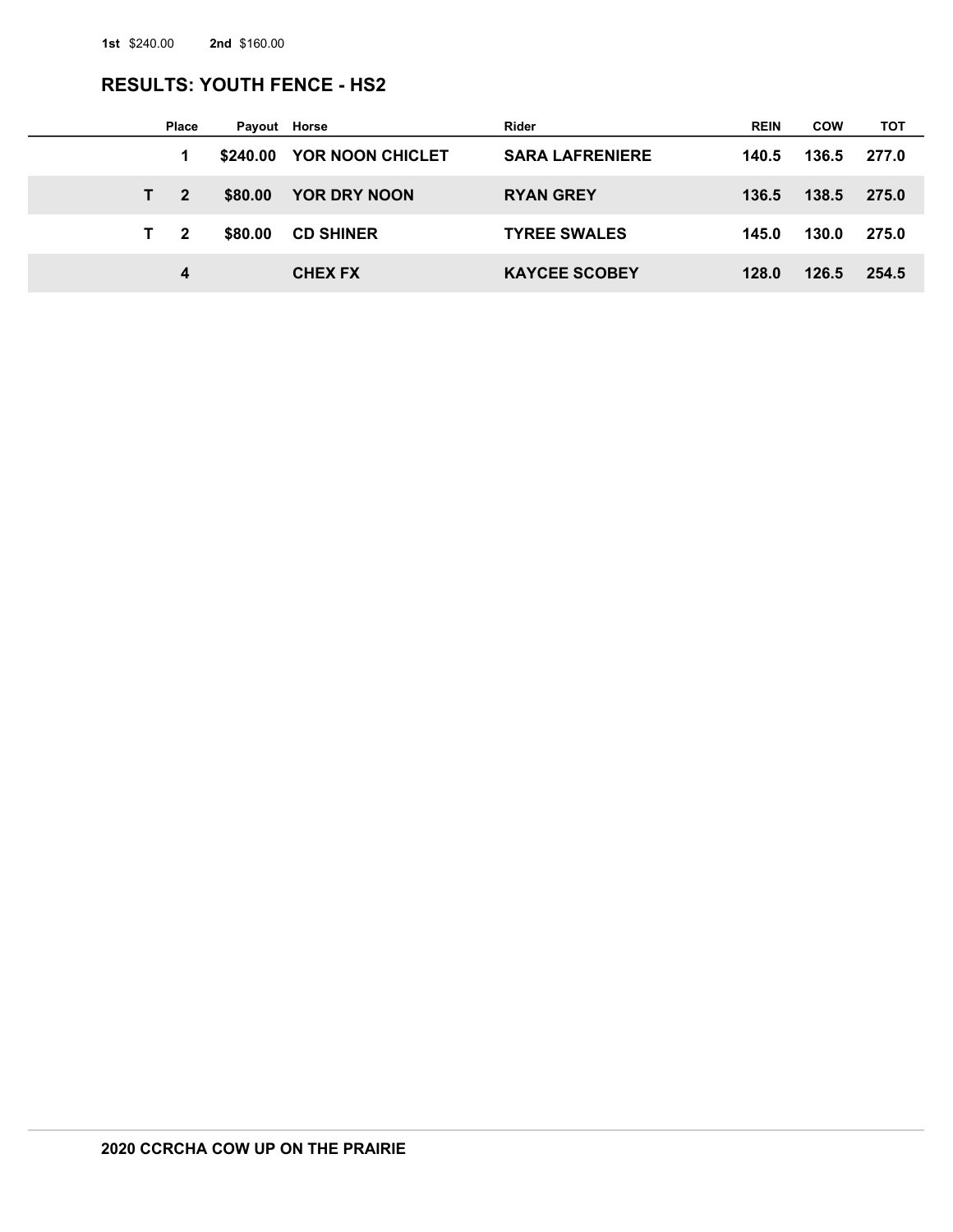## **RESULTS: YOUTH FENCE - HS2**

|    | <b>Place</b>   | Payout Horse |                  | Rider                  | <b>REIN</b> | <b>COW</b> | тот   |
|----|----------------|--------------|------------------|------------------------|-------------|------------|-------|
|    |                | \$240.00     | YOR NOON CHICLET | <b>SARA LAFRENIERE</b> | 140.5       | 136.5      | 277.0 |
| T. | $\mathbf{2}$   | \$80.00      | YOR DRY NOON     | <b>RYAN GREY</b>       | 136.5       | 138.5      | 275.0 |
| T. | $\overline{2}$ | \$80.00      | <b>CD SHINER</b> | <b>TYREE SWALES</b>    | 145.0       | 130.0      | 275.0 |
|    | 4              |              | <b>CHEX FX</b>   | <b>KAYCEE SCOBEY</b>   | 128.0       | 126.5      | 254.5 |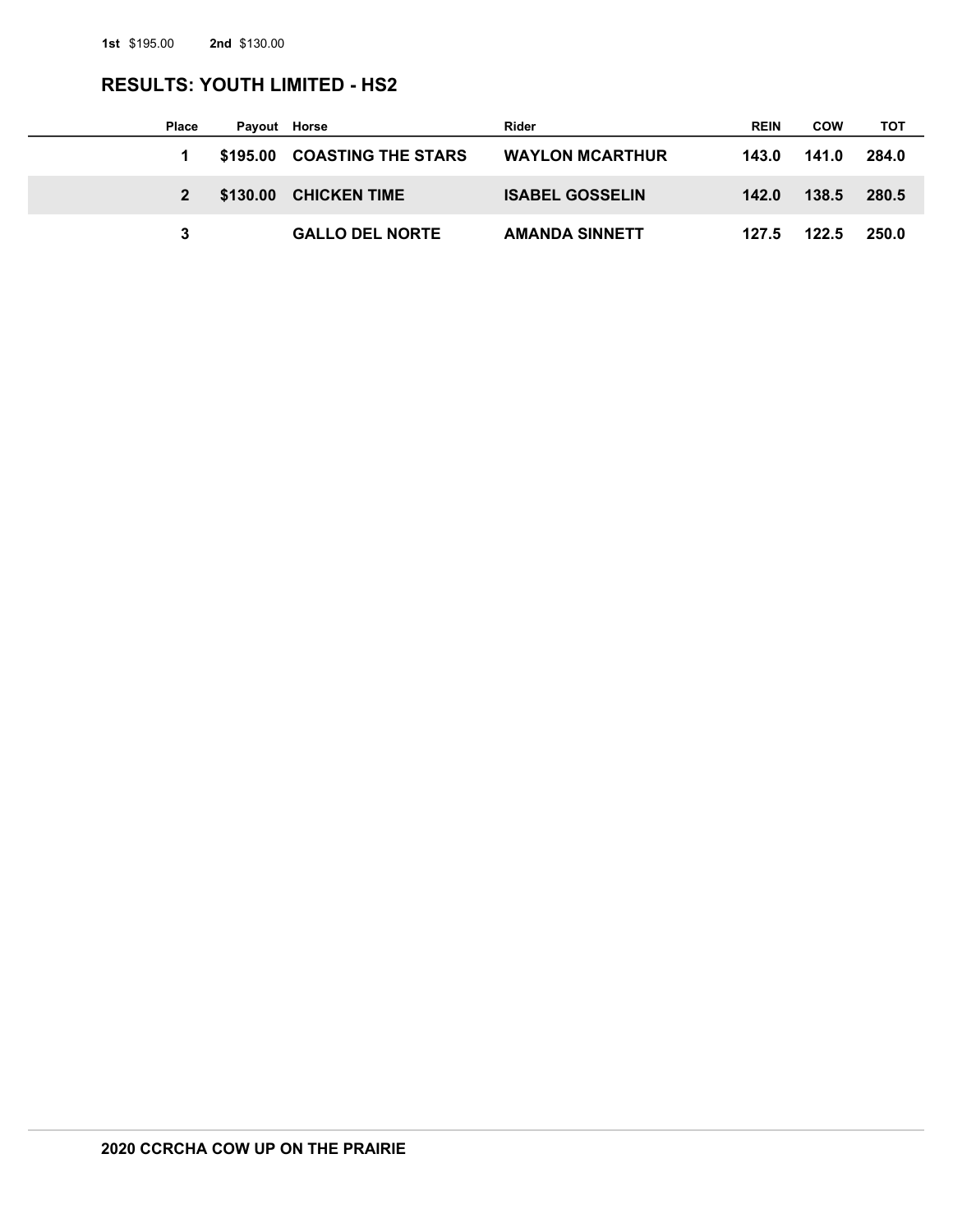## **RESULTS: YOUTH LIMITED - HS2**

| <b>Place</b> | Payout Horse |                             | Rider                  | <b>REIN</b> | COW   | тот   |
|--------------|--------------|-----------------------------|------------------------|-------------|-------|-------|
|              |              | \$195.00 COASTING THE STARS | <b>WAYLON MCARTHUR</b> | 143.0       | 141.0 | 284.0 |
|              |              | \$130.00 CHICKEN TIME       | <b>ISABEL GOSSELIN</b> | 142.0       | 138.5 | 280.5 |
|              |              | <b>GALLO DEL NORTE</b>      | <b>AMANDA SINNETT</b>  | 127.5       | 122.5 | 250.0 |